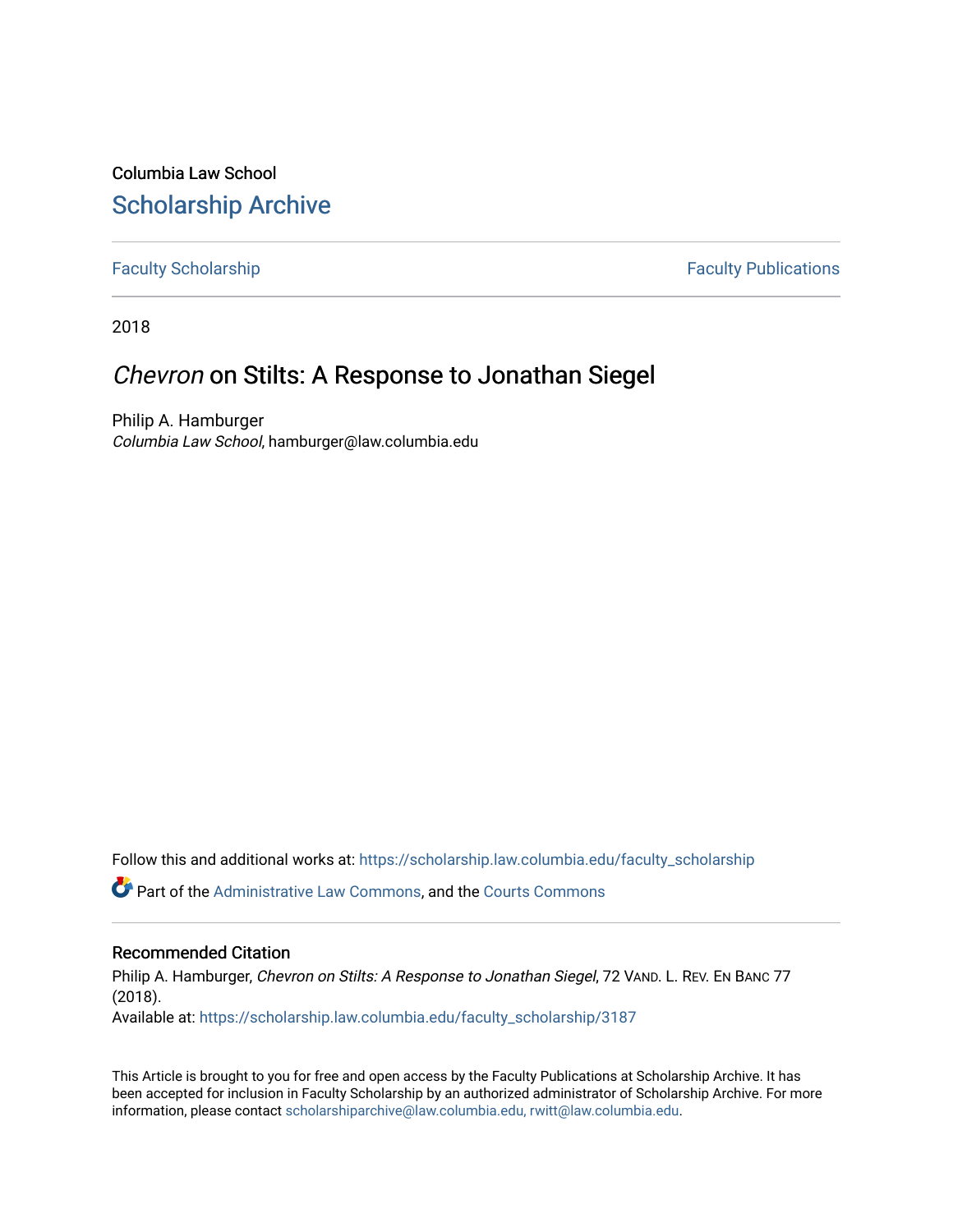Columbia Law School [Scholarship Archive](https://scholarship.law.columbia.edu/) 

[Faculty Scholarship](https://scholarship.law.columbia.edu/faculty_scholarship) **Faculty Publications** 

2018

# Chevron on Stilts: A Response to Jonathan Siegel

Philip A. Hamburger Columbia Law School, hamburger@law.columbia.edu

Follow this and additional works at: [https://scholarship.law.columbia.edu/faculty\\_scholarship](https://scholarship.law.columbia.edu/faculty_scholarship?utm_source=scholarship.law.columbia.edu%2Ffaculty_scholarship%2F3187&utm_medium=PDF&utm_campaign=PDFCoverPages)

Part of the [Administrative Law Commons,](http://network.bepress.com/hgg/discipline/579?utm_source=scholarship.law.columbia.edu%2Ffaculty_scholarship%2F3187&utm_medium=PDF&utm_campaign=PDFCoverPages) and the [Courts Commons](http://network.bepress.com/hgg/discipline/839?utm_source=scholarship.law.columbia.edu%2Ffaculty_scholarship%2F3187&utm_medium=PDF&utm_campaign=PDFCoverPages)

#### Recommended Citation

Philip A. Hamburger, Chevron on Stilts: A Response to Jonathan Siegel, 72 VAND. L. REV. EN BANC 77 (2018). Available at: [https://scholarship.law.columbia.edu/faculty\\_scholarship/3187](https://scholarship.law.columbia.edu/faculty_scholarship/3187?utm_source=scholarship.law.columbia.edu%2Ffaculty_scholarship%2F3187&utm_medium=PDF&utm_campaign=PDFCoverPages)

This Article is brought to you for free and open access by the Faculty Publications at Scholarship Archive. It has been accepted for inclusion in Faculty Scholarship by an authorized administrator of Scholarship Archive. For more information, please contact [scholarshiparchive@law.columbia.edu, rwitt@law.columbia.edu](mailto:scholarshiparchive@law.columbia.edu,%20rwitt@law.columbia.edu).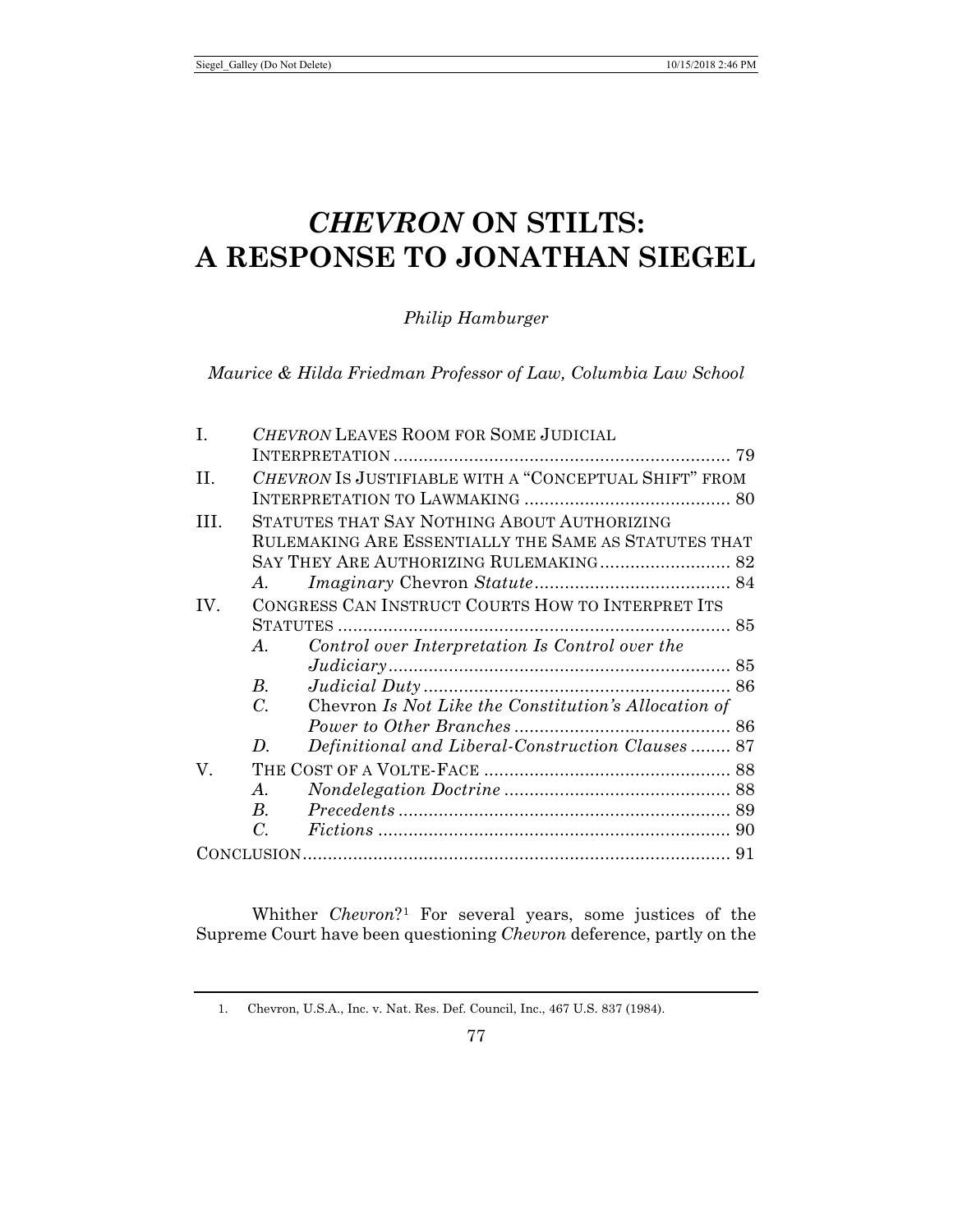# *CHEVRON* **ON STILTS: A RESPONSE TO JONATHAN SIEGEL**

*Philip Hamburger*

*Maurice & Hilda Friedman Professor of Law, Columbia Law School*

| I.  |                                                       | CHEVRON LEAVES ROOM FOR SOME JUDICIAL                |  |
|-----|-------------------------------------------------------|------------------------------------------------------|--|
|     |                                                       |                                                      |  |
| II. | CHEVRON IS JUSTIFIABLE WITH A "CONCEPTUAL SHIFT" FROM |                                                      |  |
|     |                                                       |                                                      |  |
| TH. |                                                       | STATUTES THAT SAY NOTHING ABOUT AUTHORIZING          |  |
|     | RULEMAKING ARE ESSENTIALLY THE SAME AS STATUTES THAT  |                                                      |  |
|     | SAY THEY ARE AUTHORIZING RULEMAKING 82                |                                                      |  |
|     | A.                                                    |                                                      |  |
| IV. | CONGRESS CAN INSTRUCT COURTS HOW TO INTERPRET ITS     |                                                      |  |
|     |                                                       |                                                      |  |
|     | $A_{\cdot}$                                           | Control over Interpretation Is Control over the      |  |
|     |                                                       |                                                      |  |
|     | B.                                                    |                                                      |  |
|     | $C_{\cdot}$                                           | Chevron Is Not Like the Constitution's Allocation of |  |
|     |                                                       |                                                      |  |
|     | D.                                                    | Definitional and Liberal-Construction Clauses 87     |  |
| V.  |                                                       |                                                      |  |
|     | $\boldsymbol{A}$ .                                    |                                                      |  |
|     | $B_{\cdot}$                                           |                                                      |  |
|     | C.                                                    |                                                      |  |
|     |                                                       |                                                      |  |

Whither *Chevron*?[1](#page-1-0) For several years, some justices of the Supreme Court have been questioning *Chevron* deference, partly on the

<span id="page-1-0"></span><sup>1.</sup> Chevron, U.S.A., Inc. v. Nat. Res. Def. Council, Inc., 467 U.S. 837 (1984).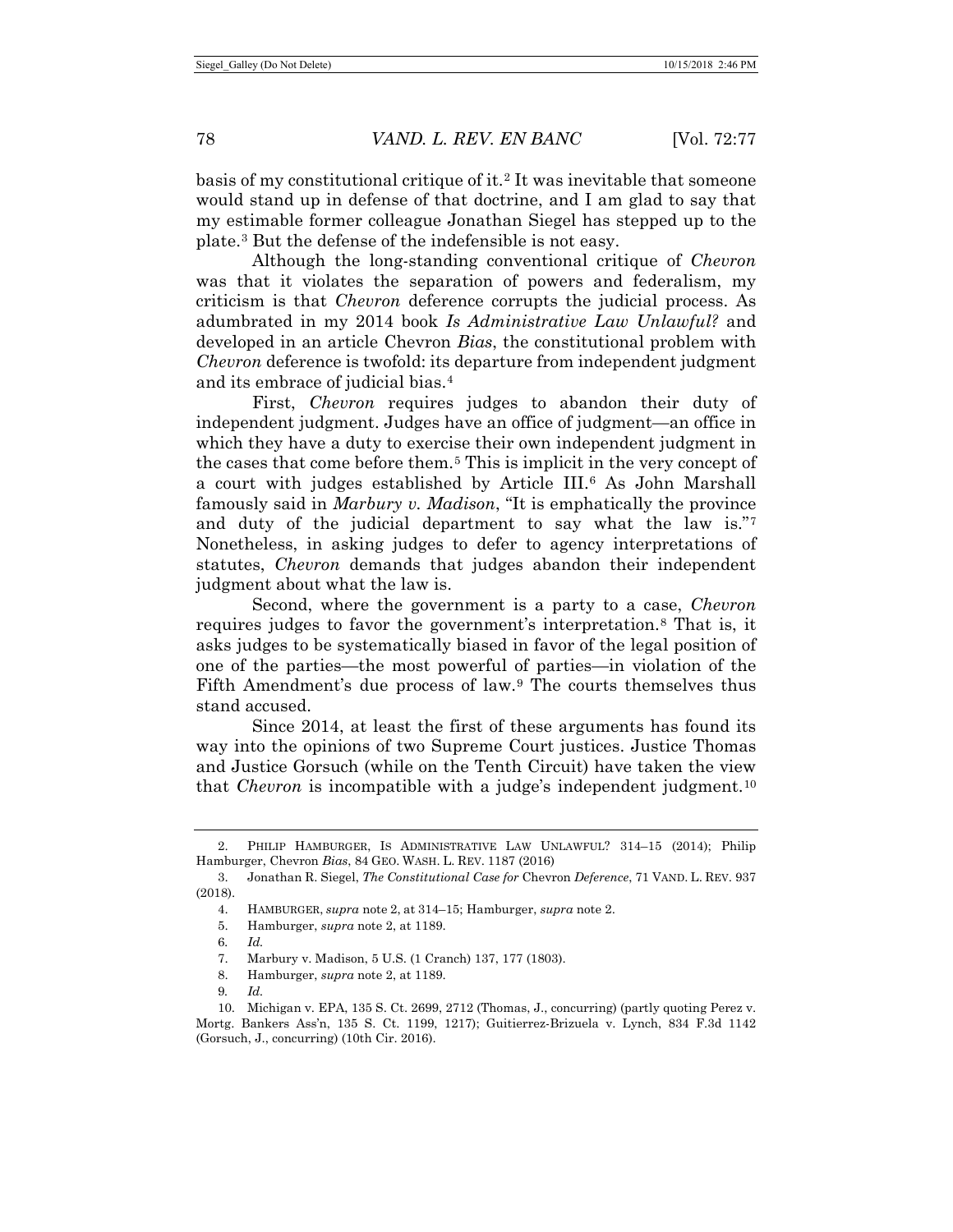basis of my constitutional critique of it.[2](#page-2-0) It was inevitable that someone would stand up in defense of that doctrine, and I am glad to say that my estimable former colleague Jonathan Siegel has stepped up to the plate.[3](#page-2-1) But the defense of the indefensible is not easy.

<span id="page-2-9"></span>Although the long-standing conventional critique of *Chevron* was that it violates the separation of powers and federalism, my criticism is that *Chevron* deference corrupts the judicial process. As adumbrated in my 2014 book *Is Administrative Law Unlawful?* and developed in an article Chevron *Bias*, the constitutional problem with *Chevron* deference is twofold: its departure from independent judgment and its embrace of judicial bias.[4](#page-2-2)

First, *Chevron* requires judges to abandon their duty of independent judgment. Judges have an office of judgment—an office in which they have a duty to exercise their own independent judgment in the cases that come before them.[5](#page-2-3) This is implicit in the very concept of a court with judges established by Article III.[6](#page-2-4) As John Marshall famously said in *Marbury v. Madison*, "It is emphatically the province and duty of the judicial department to say what the law is."[7](#page-2-5) Nonetheless, in asking judges to defer to agency interpretations of statutes, *Chevron* demands that judges abandon their independent judgment about what the law is.

Second, where the government is a party to a case, *Chevron*  requires judges to favor the government's interpretation.[8](#page-2-6) That is, it asks judges to be systematically biased in favor of the legal position of one of the parties—the most powerful of parties—in violation of the Fifth Amendment's due process of law.<sup>[9](#page-2-7)</sup> The courts themselves thus stand accused.

Since 2014, at least the first of these arguments has found its way into the opinions of two Supreme Court justices. Justice Thomas and Justice Gorsuch (while on the Tenth Circuit) have taken the view that *Chevron* is incompatible with a judge's independent judgment.<sup>[10](#page-2-8)</sup>

6*. Id.*

8. Hamburger, *supra* note 2, at 1189.

<span id="page-2-0"></span><sup>2.</sup> PHILIP HAMBURGER, IS ADMINISTRATIVE LAW UNLAWFUL? 314–15 (2014); Philip Hamburger, Chevron *Bias*, 84 GEO. WASH. L. REV. 1187 (2016)

<span id="page-2-4"></span><span id="page-2-3"></span><span id="page-2-2"></span><span id="page-2-1"></span><sup>3.</sup> Jonathan R. Siegel, *The Constitutional Case for* Chevron *Deference*, 71 VAND. L. REV. 937 (2018).

<sup>4.</sup> HAMBURGER, *supra* note 2, at 314–15; Hamburger, *supra* note 2.

<sup>5.</sup> Hamburger, *supra* note 2, at 1189.

<sup>7.</sup> Marbury v. Madison, 5 U.S. (1 Cranch) 137, 177 (1803).

<sup>9</sup>*. Id.*

<span id="page-2-8"></span><span id="page-2-7"></span><span id="page-2-6"></span><span id="page-2-5"></span><sup>10.</sup> Michigan v. EPA, 135 S. Ct. 2699, 2712 (Thomas, J., concurring) (partly quoting Perez v. Mortg. Bankers Ass'n, 135 S. Ct. 1199, 1217); Guitierrez-Brizuela v. Lynch, 834 F.3d 1142 (Gorsuch, J., concurring) (10th Cir. 2016).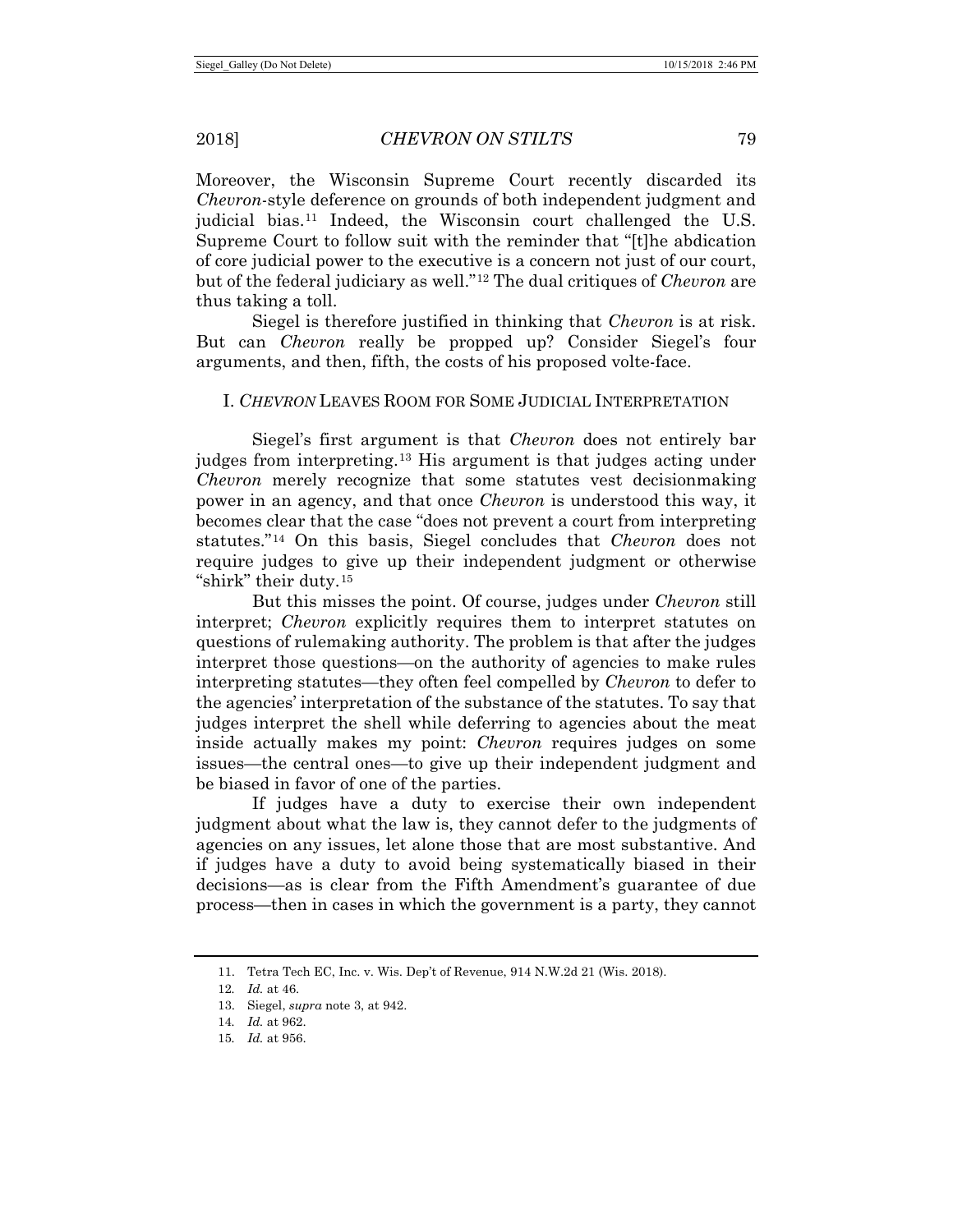Moreover, the Wisconsin Supreme Court recently discarded its *Chevron*-style deference on grounds of both independent judgment and judicial bias.[11](#page-3-0) Indeed, the Wisconsin court challenged the U.S. Supreme Court to follow suit with the reminder that "[t]he abdication of core judicial power to the executive is a concern not just of our court, but of the federal judiciary as well."[12](#page-3-1) The dual critiques of *Chevron* are thus taking a toll.

Siegel is therefore justified in thinking that *Chevron* is at risk. But can *Chevron* really be propped up? Consider Siegel's four arguments, and then, fifth, the costs of his proposed volte-face.

# I. *CHEVRON* LEAVES ROOM FOR SOME JUDICIAL INTERPRETATION

Siegel's first argument is that *Chevron* does not entirely bar judges from interpreting.[13](#page-3-2) His argument is that judges acting under *Chevron* merely recognize that some statutes vest decisionmaking power in an agency, and that once *Chevron* is understood this way, it becomes clear that the case "does not prevent a court from interpreting statutes."[14](#page-3-3) On this basis, Siegel concludes that *Chevron* does not require judges to give up their independent judgment or otherwise "shirk" their duty.[15](#page-3-4)

But this misses the point. Of course, judges under *Chevron* still interpret; *Chevron* explicitly requires them to interpret statutes on questions of rulemaking authority. The problem is that after the judges interpret those questions—on the authority of agencies to make rules interpreting statutes—they often feel compelled by *Chevron* to defer to the agencies' interpretation of the substance of the statutes. To say that judges interpret the shell while deferring to agencies about the meat inside actually makes my point: *Chevron* requires judges on some issues—the central ones—to give up their independent judgment and be biased in favor of one of the parties.

If judges have a duty to exercise their own independent judgment about what the law is, they cannot defer to the judgments of agencies on any issues, let alone those that are most substantive. And if judges have a duty to avoid being systematically biased in their decisions—as is clear from the Fifth Amendment's guarantee of due process—then in cases in which the government is a party, they cannot

<span id="page-3-1"></span><span id="page-3-0"></span><sup>11.</sup> Tetra Tech EC, Inc. v. Wis. Dep't of Revenue, 914 N.W.2d 21 (Wis. 2018).

<sup>12</sup>*. Id.* at 46.

<span id="page-3-3"></span><span id="page-3-2"></span><sup>13.</sup> Siegel, *supra* note 3, at 942.

<sup>14</sup>*. Id.* at 962.

<span id="page-3-4"></span><sup>15</sup>*. Id.* at 956.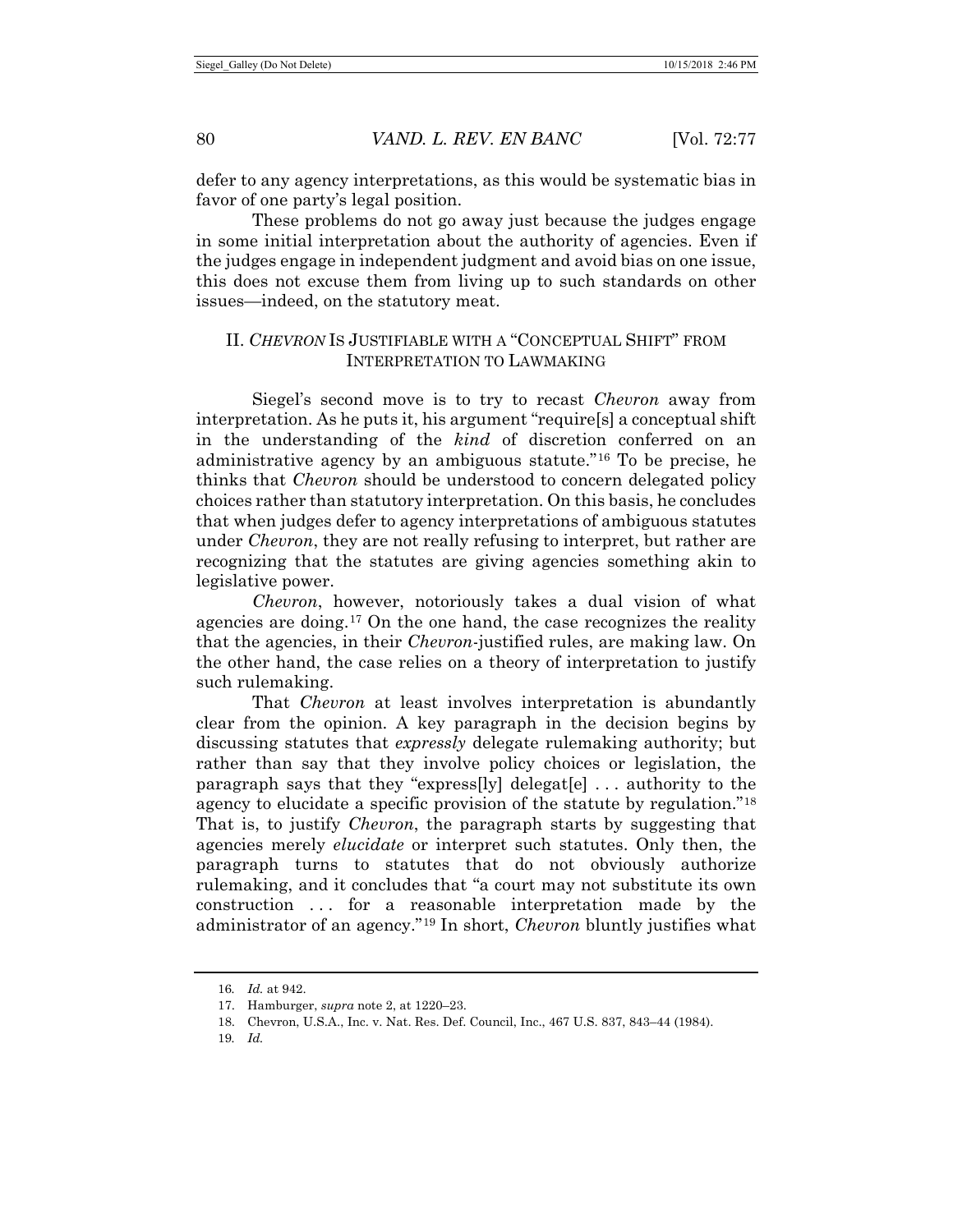defer to any agency interpretations, as this would be systematic bias in favor of one party's legal position.

These problems do not go away just because the judges engage in some initial interpretation about the authority of agencies. Even if the judges engage in independent judgment and avoid bias on one issue, this does not excuse them from living up to such standards on other issues—indeed, on the statutory meat.

# II. *CHEVRON* IS JUSTIFIABLE WITH A "CONCEPTUAL SHIFT" FROM INTERPRETATION TO LAWMAKING

Siegel's second move is to try to recast *Chevron* away from interpretation. As he puts it, his argument "require[s] a conceptual shift in the understanding of the *kind* of discretion conferred on an administrative agency by an ambiguous statute."[16](#page-4-0) To be precise, he thinks that *Chevron* should be understood to concern delegated policy choices rather than statutory interpretation. On this basis, he concludes that when judges defer to agency interpretations of ambiguous statutes under *Chevron*, they are not really refusing to interpret, but rather are recognizing that the statutes are giving agencies something akin to legislative power.

*Chevron*, however, notoriously takes a dual vision of what agencies are doing.[17](#page-4-1) On the one hand, the case recognizes the reality that the agencies, in their *Chevron*-justified rules, are making law. On the other hand, the case relies on a theory of interpretation to justify such rulemaking.

That *Chevron* at least involves interpretation is abundantly clear from the opinion. A key paragraph in the decision begins by discussing statutes that *expressly* delegate rulemaking authority; but rather than say that they involve policy choices or legislation, the paragraph says that they "express[ly] delegat[e] . . . authority to the agency to elucidate a specific provision of the statute by regulation."[18](#page-4-2) That is, to justify *Chevron*, the paragraph starts by suggesting that agencies merely *elucidate* or interpret such statutes. Only then, the paragraph turns to statutes that do not obviously authorize rulemaking, and it concludes that "a court may not substitute its own construction . . . for a reasonable interpretation made by the administrator of an agency."[19](#page-4-3) In short, *Chevron* bluntly justifies what

<span id="page-4-3"></span>19*. Id.*

<sup>16</sup>*. Id.* at 942.

<span id="page-4-1"></span><span id="page-4-0"></span><sup>17.</sup> Hamburger, *supra* note 2, at 1220–23.

<span id="page-4-2"></span><sup>18.</sup> Chevron, U.S.A., Inc. v. Nat. Res. Def. Council, Inc., 467 U.S. 837, 843–44 (1984).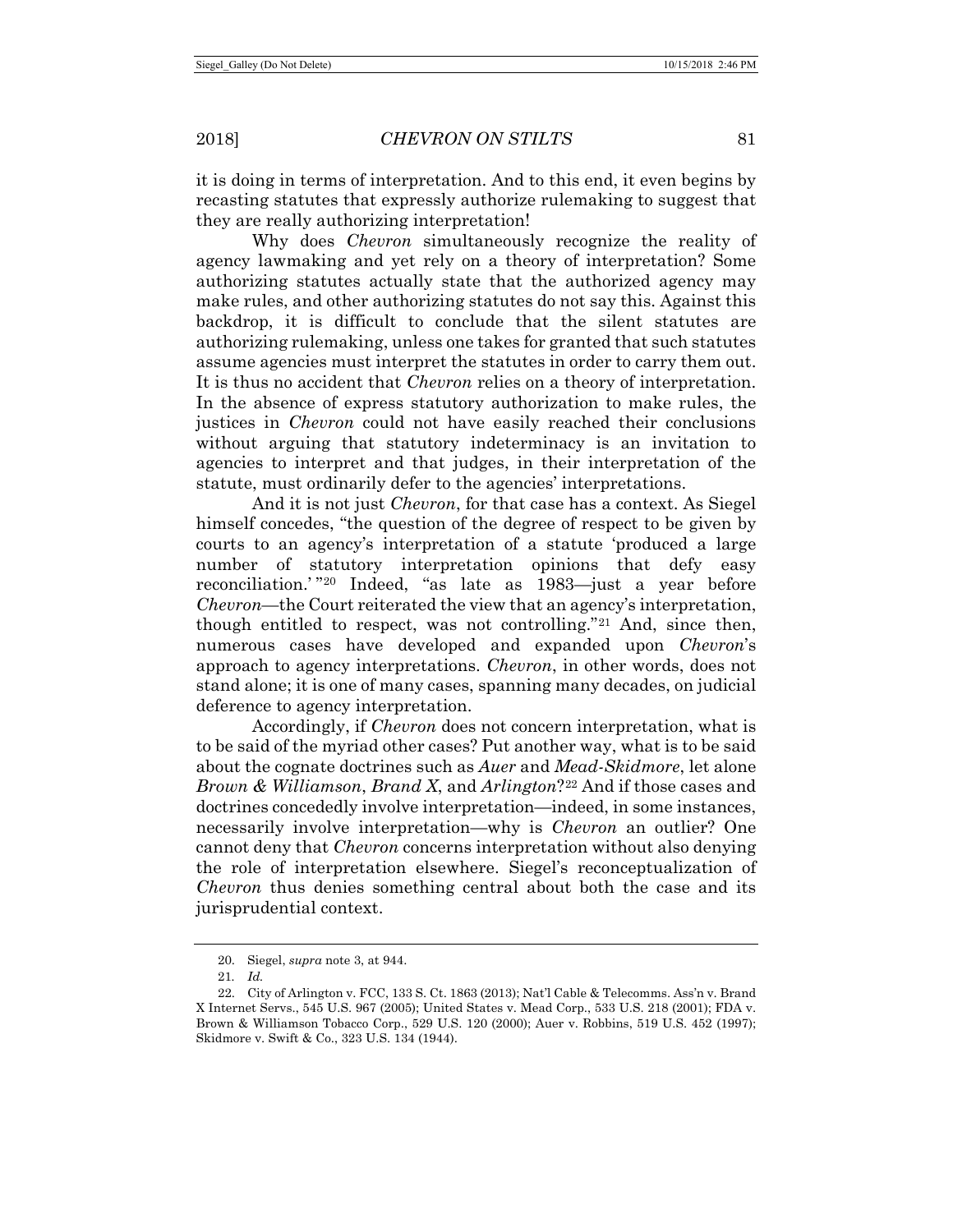it is doing in terms of interpretation. And to this end, it even begins by recasting statutes that expressly authorize rulemaking to suggest that they are really authorizing interpretation!

Why does *Chevron* simultaneously recognize the reality of agency lawmaking and yet rely on a theory of interpretation? Some authorizing statutes actually state that the authorized agency may make rules, and other authorizing statutes do not say this. Against this backdrop, it is difficult to conclude that the silent statutes are authorizing rulemaking, unless one takes for granted that such statutes assume agencies must interpret the statutes in order to carry them out. It is thus no accident that *Chevron* relies on a theory of interpretation. In the absence of express statutory authorization to make rules, the justices in *Chevron* could not have easily reached their conclusions without arguing that statutory indeterminacy is an invitation to agencies to interpret and that judges, in their interpretation of the statute, must ordinarily defer to the agencies' interpretations.

And it is not just *Chevron*, for that case has a context. As Siegel himself concedes, "the question of the degree of respect to be given by courts to an agency's interpretation of a statute 'produced a large number of statutory interpretation opinions that defy easy reconciliation.' "[20](#page-5-0) Indeed, "as late as 1983—just a year before *Chevron*—the Court reiterated the view that an agency's interpretation, though entitled to respect, was not controlling."[21](#page-5-1) And, since then, numerous cases have developed and expanded upon *Chevron*'s approach to agency interpretations. *Chevron*, in other words, does not stand alone; it is one of many cases, spanning many decades, on judicial deference to agency interpretation.

Accordingly, if *Chevron* does not concern interpretation, what is to be said of the myriad other cases? Put another way, what is to be said about the cognate doctrines such as *Auer* and *Mead-Skidmore*, let alone *Brown & Williamson*, *Brand X*, and *Arlington*?[22](#page-5-2) And if those cases and doctrines concededly involve interpretation—indeed, in some instances, necessarily involve interpretation—why is *Chevron* an outlier? One cannot deny that *Chevron* concerns interpretation without also denying the role of interpretation elsewhere. Siegel's reconceptualization of *Chevron* thus denies something central about both the case and its jurisprudential context.

<sup>20.</sup> Siegel, *supra* note 3, at 944.

<sup>21</sup>*. Id.*

<span id="page-5-2"></span><span id="page-5-1"></span><span id="page-5-0"></span><sup>22.</sup> City of Arlington v. FCC, 133 S. Ct. 1863 (2013); Nat'l Cable & Telecomms. Ass'n v. Brand X Internet Servs., 545 U.S. 967 (2005); United States v. Mead Corp., 533 U.S. 218 (2001); FDA v. Brown & Williamson Tobacco Corp., 529 U.S. 120 (2000); Auer v. Robbins, 519 U.S. 452 (1997); Skidmore v. Swift & Co., 323 U.S. 134 (1944).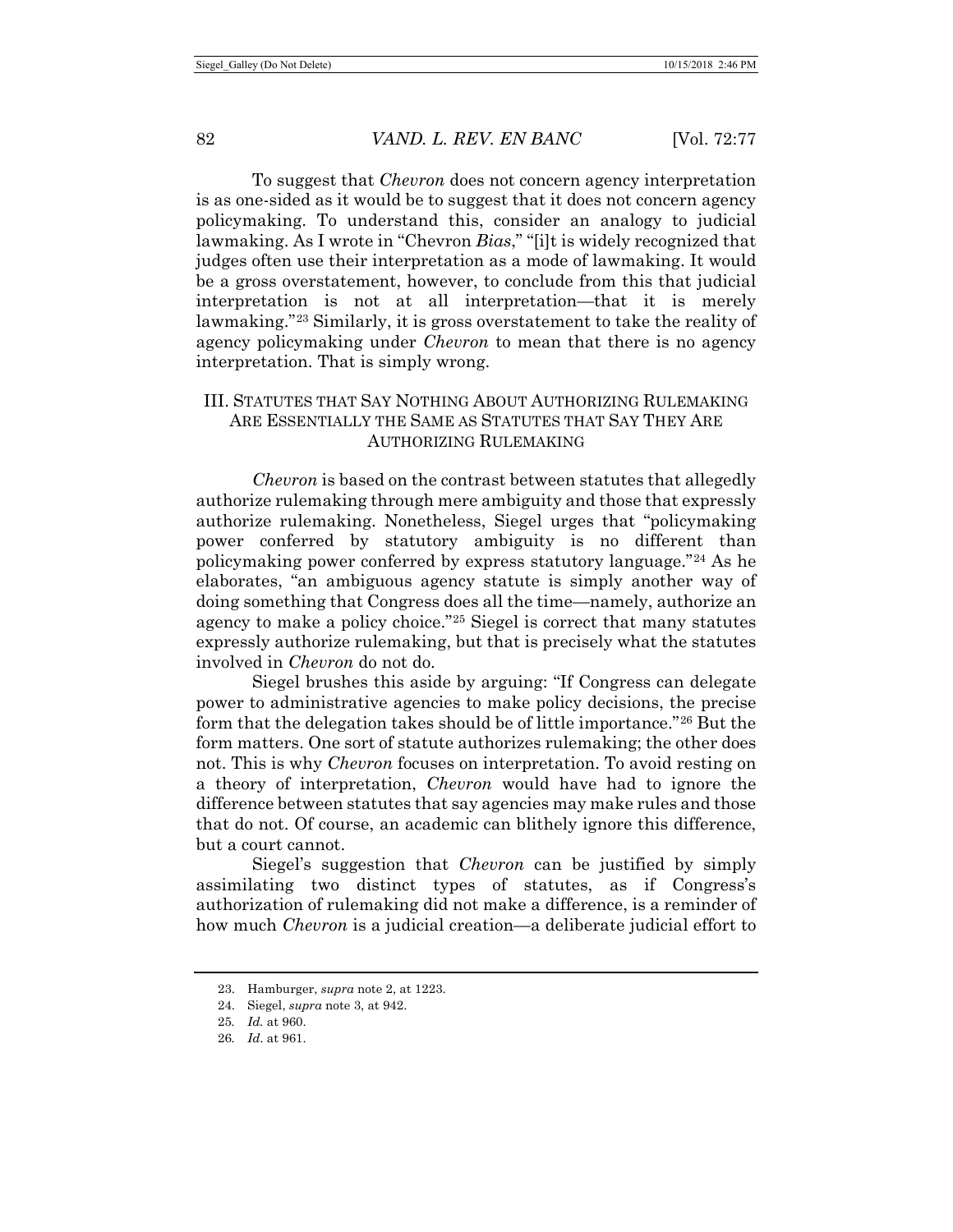To suggest that *Chevron* does not concern agency interpretation is as one-sided as it would be to suggest that it does not concern agency policymaking. To understand this, consider an analogy to judicial lawmaking. As I wrote in "Chevron *Bias*," "[i]t is widely recognized that judges often use their interpretation as a mode of lawmaking. It would be a gross overstatement, however, to conclude from this that judicial interpretation is not at all interpretation—that it is merely lawmaking."[23](#page-6-0) Similarly, it is gross overstatement to take the reality of agency policymaking under *Chevron* to mean that there is no agency interpretation. That is simply wrong.

## III. STATUTES THAT SAY NOTHING ABOUT AUTHORIZING RULEMAKING ARE ESSENTIALLY THE SAME AS STATUTES THAT SAY THEY ARE AUTHORIZING RULEMAKING

*Chevron* is based on the contrast between statutes that allegedly authorize rulemaking through mere ambiguity and those that expressly authorize rulemaking. Nonetheless, Siegel urges that "policymaking power conferred by statutory ambiguity is no different than policymaking power conferred by express statutory language."[24](#page-6-1) As he elaborates, "an ambiguous agency statute is simply another way of doing something that Congress does all the time—namely, authorize an agency to make a policy choice."[25](#page-6-2) Siegel is correct that many statutes expressly authorize rulemaking, but that is precisely what the statutes involved in *Chevron* do not do.

Siegel brushes this aside by arguing: "If Congress can delegate power to administrative agencies to make policy decisions, the precise form that the delegation takes should be of little importance."[26](#page-6-3) But the form matters. One sort of statute authorizes rulemaking; the other does not. This is why *Chevron* focuses on interpretation. To avoid resting on a theory of interpretation, *Chevron* would have had to ignore the difference between statutes that say agencies may make rules and those that do not. Of course, an academic can blithely ignore this difference, but a court cannot.

Siegel's suggestion that *Chevron* can be justified by simply assimilating two distinct types of statutes, as if Congress's authorization of rulemaking did not make a difference, is a reminder of how much *Chevron* is a judicial creation—a deliberate judicial effort to

<span id="page-6-0"></span><sup>23.</sup> Hamburger, *supra* note 2, at 1223.

<span id="page-6-1"></span><sup>24.</sup> Siegel, *supra* not[e 3,](#page-2-9) at 942.

<sup>25</sup>*. Id.* at 960.

<span id="page-6-3"></span><span id="page-6-2"></span><sup>26</sup>*. Id*. at 961.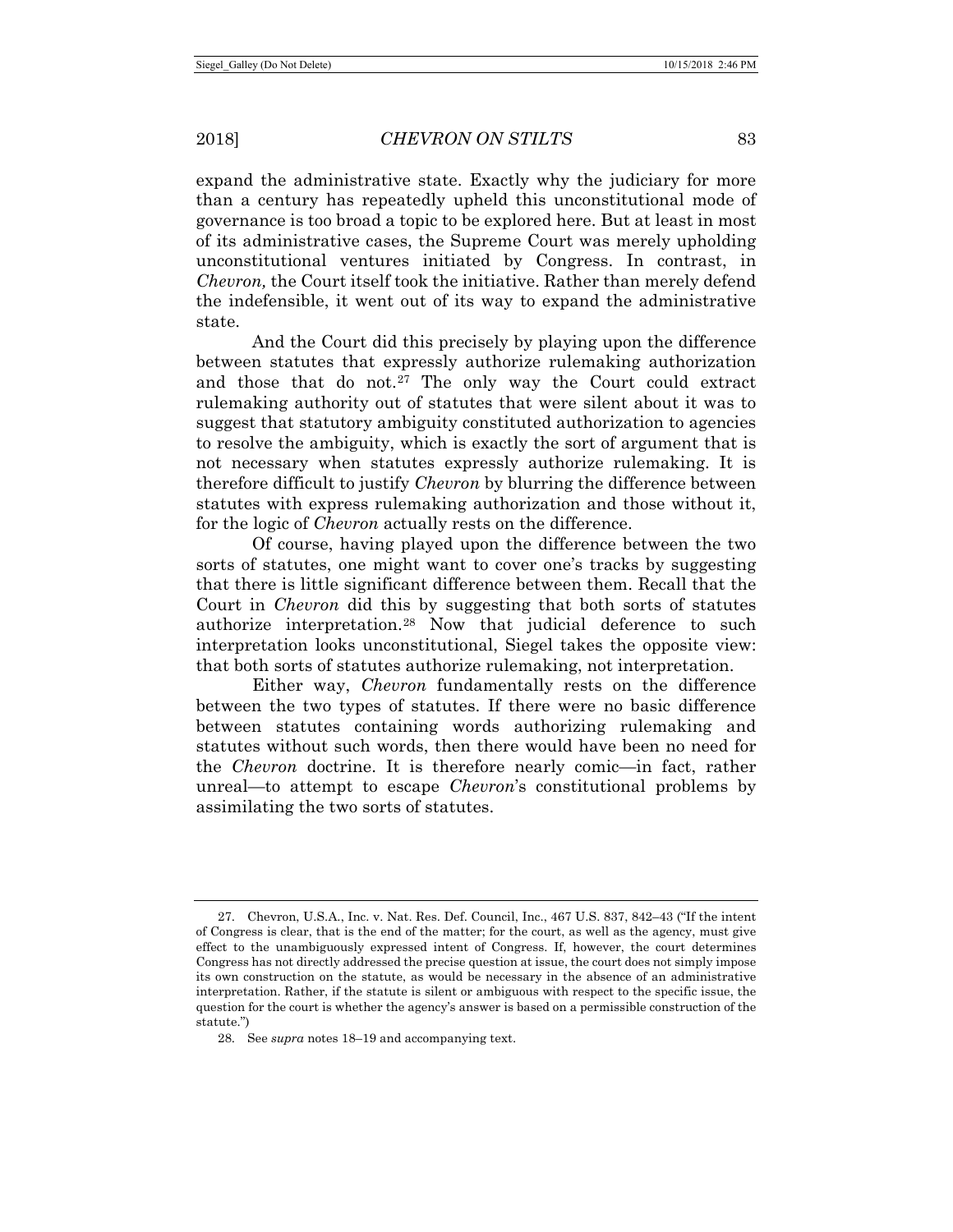expand the administrative state. Exactly why the judiciary for more than a century has repeatedly upheld this unconstitutional mode of governance is too broad a topic to be explored here. But at least in most of its administrative cases, the Supreme Court was merely upholding unconstitutional ventures initiated by Congress. In contrast, in *Chevron,* the Court itself took the initiative. Rather than merely defend the indefensible, it went out of its way to expand the administrative state.

And the Court did this precisely by playing upon the difference between statutes that expressly authorize rulemaking authorization and those that do not.<sup>[27](#page-7-0)</sup> The only way the Court could extract rulemaking authority out of statutes that were silent about it was to suggest that statutory ambiguity constituted authorization to agencies to resolve the ambiguity, which is exactly the sort of argument that is not necessary when statutes expressly authorize rulemaking. It is therefore difficult to justify *Chevron* by blurring the difference between statutes with express rulemaking authorization and those without it, for the logic of *Chevron* actually rests on the difference.

Of course, having played upon the difference between the two sorts of statutes, one might want to cover one's tracks by suggesting that there is little significant difference between them. Recall that the Court in *Chevron* did this by suggesting that both sorts of statutes authorize interpretation.[28](#page-7-1) Now that judicial deference to such interpretation looks unconstitutional, Siegel takes the opposite view: that both sorts of statutes authorize rulemaking, not interpretation.

Either way, *Chevron* fundamentally rests on the difference between the two types of statutes. If there were no basic difference between statutes containing words authorizing rulemaking and statutes without such words, then there would have been no need for the *Chevron* doctrine. It is therefore nearly comic—in fact, rather unreal—to attempt to escape *Chevron*'s constitutional problems by assimilating the two sorts of statutes.

<span id="page-7-0"></span><sup>27.</sup> Chevron, U.S.A., Inc. v. Nat. Res. Def. Council, Inc., 467 U.S. 837, 842–43 ("If the intent of Congress is clear, that is the end of the matter; for the court, as well as the agency, must give effect to the unambiguously expressed intent of Congress. If, however, the court determines Congress has not directly addressed the precise question at issue, the court does not simply impose its own construction on the statute, as would be necessary in the absence of an administrative interpretation. Rather, if the statute is silent or ambiguous with respect to the specific issue, the question for the court is whether the agency's answer is based on a permissible construction of the statute.")

<span id="page-7-1"></span><sup>28.</sup> See *supra* notes 18–19 and accompanying text.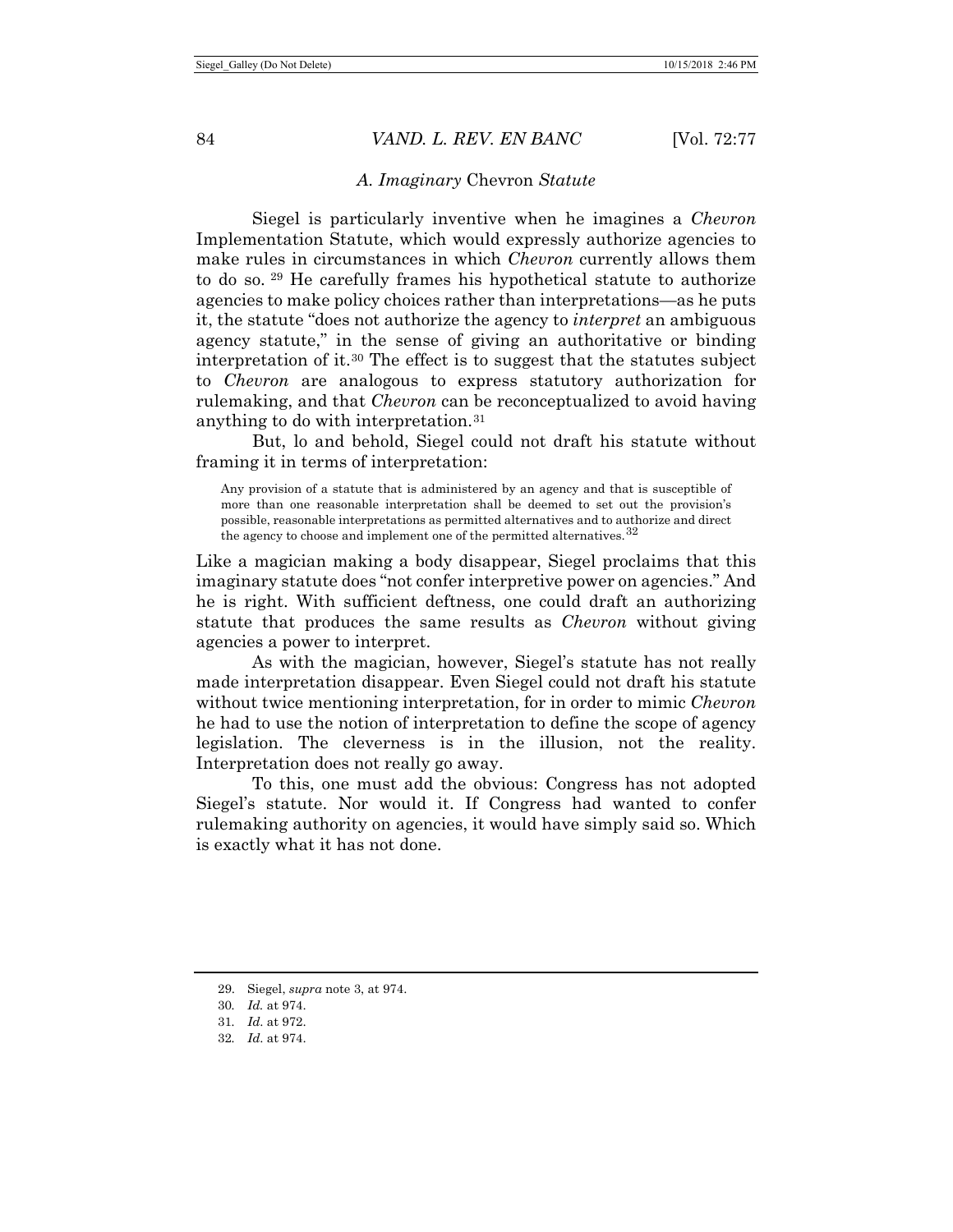#### *A. Imaginary* Chevron *Statute*

Siegel is particularly inventive when he imagines a *Chevron* Implementation Statute, which would expressly authorize agencies to make rules in circumstances in which *Chevron* currently allows them to do so. [29](#page-8-0) He carefully frames his hypothetical statute to authorize agencies to make policy choices rather than interpretations—as he puts it, the statute "does not authorize the agency to *interpret* an ambiguous agency statute," in the sense of giving an authoritative or binding interpretation of it.[30](#page-8-1) The effect is to suggest that the statutes subject to *Chevron* are analogous to express statutory authorization for rulemaking, and that *Chevron* can be reconceptualized to avoid having anything to do with interpretation.[31](#page-8-2) 

But, lo and behold, Siegel could not draft his statute without framing it in terms of interpretation:

Any provision of a statute that is administered by an agency and that is susceptible of more than one reasonable interpretation shall be deemed to set out the provision's possible, reasonable interpretations as permitted alternatives and to authorize and direct the agency to choose and implement one of the permitted alternatives.  $32$ 

Like a magician making a body disappear, Siegel proclaims that this imaginary statute does "not confer interpretive power on agencies." And he is right. With sufficient deftness, one could draft an authorizing statute that produces the same results as *Chevron* without giving agencies a power to interpret.

As with the magician, however, Siegel's statute has not really made interpretation disappear. Even Siegel could not draft his statute without twice mentioning interpretation, for in order to mimic *Chevron* he had to use the notion of interpretation to define the scope of agency legislation. The cleverness is in the illusion, not the reality. Interpretation does not really go away.

To this, one must add the obvious: Congress has not adopted Siegel's statute. Nor would it. If Congress had wanted to confer rulemaking authority on agencies, it would have simply said so. Which is exactly what it has not done.

<span id="page-8-0"></span><sup>29.</sup> Siegel, *supra* note 3, at 974.

<span id="page-8-1"></span><sup>30</sup>*. Id.* at 974.

<span id="page-8-2"></span><sup>31</sup>*. Id*. at 972.

<span id="page-8-3"></span><sup>32</sup>*. Id*. at 974.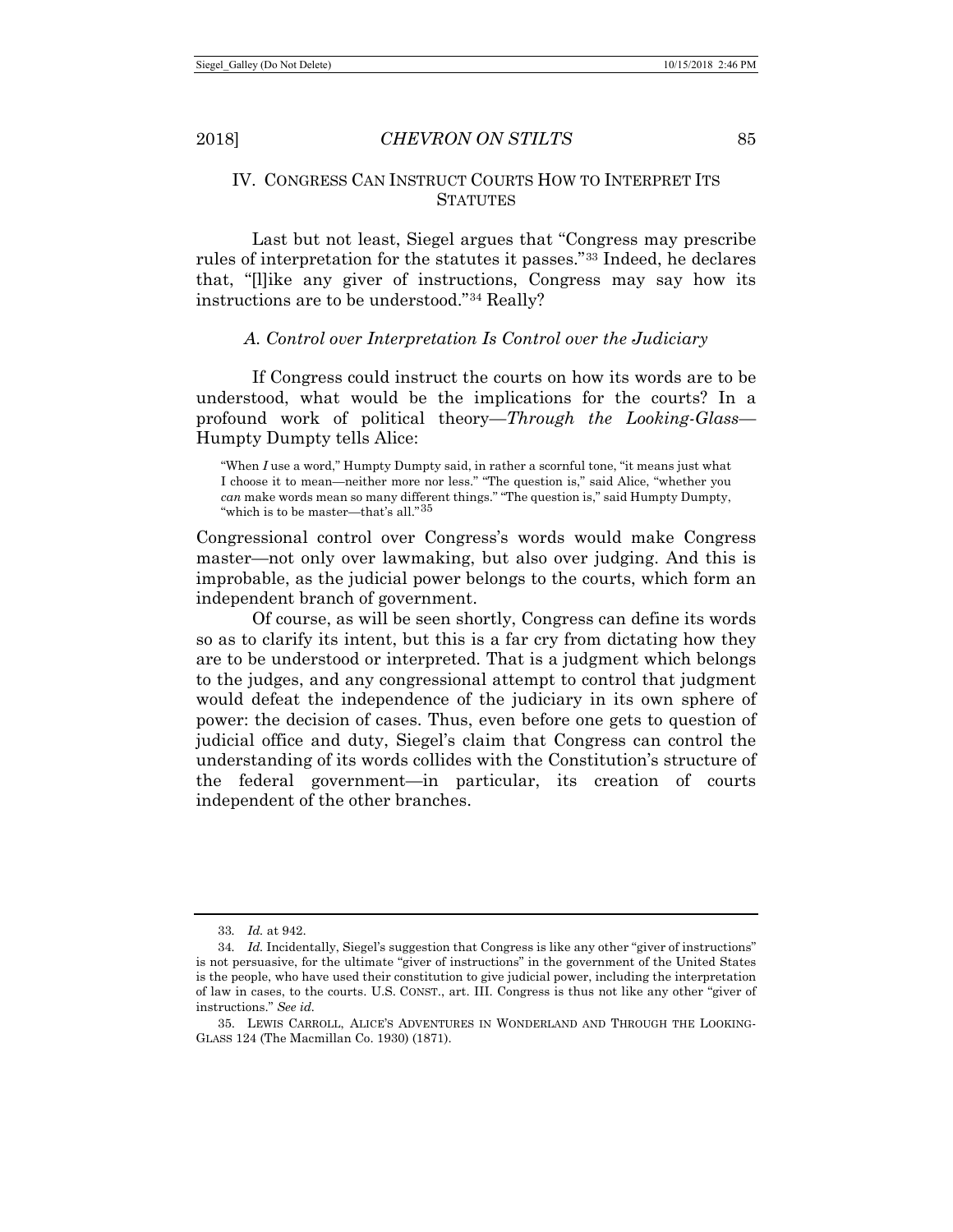# IV. CONGRESS CAN INSTRUCT COURTS HOW TO INTERPRET ITS **STATUTES**

Last but not least, Siegel argues that "Congress may prescribe rules of interpretation for the statutes it passes."[33](#page-9-0) Indeed, he declares that, "[l]ike any giver of instructions, Congress may say how its instructions are to be understood."[34](#page-9-1) Really?

#### *A. Control over Interpretation Is Control over the Judiciary*

If Congress could instruct the courts on how its words are to be understood, what would be the implications for the courts? In a profound work of political theory—*Through the Looking-Glass*— Humpty Dumpty tells Alice:

"When *I* use a word," Humpty Dumpty said, in rather a scornful tone, "it means just what I choose it to mean—neither more nor less." "The question is," said Alice, "whether you *can* make words mean so many different things." "The question is," said Humpty Dumpty, "which is to be master—that's all."<sup>[35](#page-9-2)</sup>

Congressional control over Congress's words would make Congress master—not only over lawmaking, but also over judging. And this is improbable, as the judicial power belongs to the courts, which form an independent branch of government.

Of course, as will be seen shortly, Congress can define its words so as to clarify its intent, but this is a far cry from dictating how they are to be understood or interpreted. That is a judgment which belongs to the judges, and any congressional attempt to control that judgment would defeat the independence of the judiciary in its own sphere of power: the decision of cases. Thus, even before one gets to question of judicial office and duty, Siegel's claim that Congress can control the understanding of its words collides with the Constitution's structure of the federal government—in particular, its creation of courts independent of the other branches.

<sup>33</sup>*. Id.* at 942.

<span id="page-9-1"></span><span id="page-9-0"></span><sup>34</sup>*. Id.* Incidentally, Siegel's suggestion that Congress is like any other "giver of instructions" is not persuasive, for the ultimate "giver of instructions" in the government of the United States is the people, who have used their constitution to give judicial power, including the interpretation of law in cases, to the courts. U.S. CONST., art. III. Congress is thus not like any other "giver of instructions." *See id.*

<span id="page-9-2"></span><sup>35.</sup> LEWIS CARROLL, ALICE'S ADVENTURES IN WONDERLAND AND THROUGH THE LOOKING-GLASS 124 (The Macmillan Co. 1930) (1871).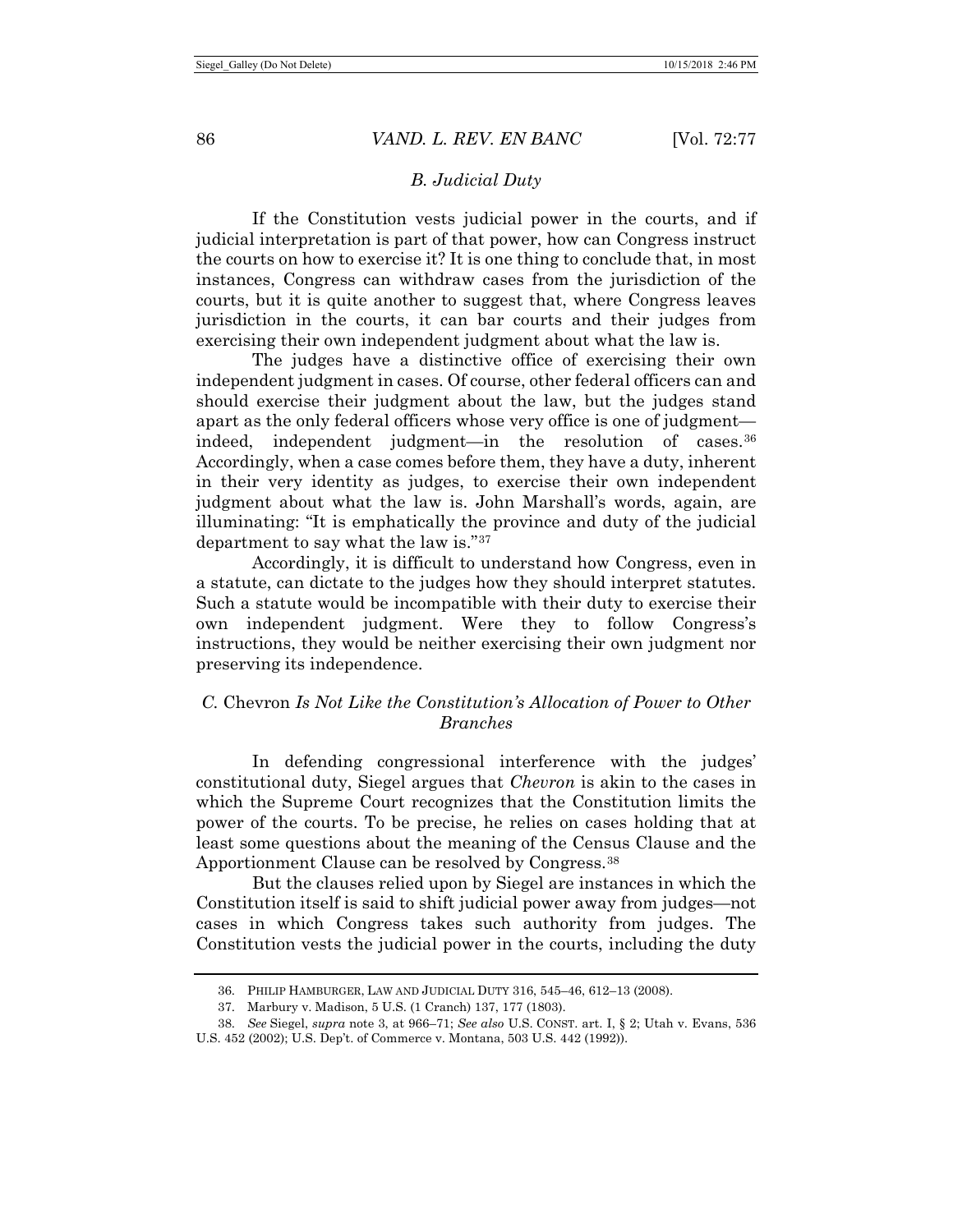#### *B. Judicial Duty*

If the Constitution vests judicial power in the courts, and if judicial interpretation is part of that power, how can Congress instruct the courts on how to exercise it? It is one thing to conclude that, in most instances, Congress can withdraw cases from the jurisdiction of the courts, but it is quite another to suggest that, where Congress leaves jurisdiction in the courts, it can bar courts and their judges from exercising their own independent judgment about what the law is.

The judges have a distinctive office of exercising their own independent judgment in cases. Of course, other federal officers can and should exercise their judgment about the law, but the judges stand apart as the only federal officers whose very office is one of judgment— indeed, independent judgment—in the resolution of cases.<sup>[36](#page-10-0)</sup> Accordingly, when a case comes before them, they have a duty, inherent in their very identity as judges, to exercise their own independent judgment about what the law is. John Marshall's words, again, are illuminating: "It is emphatically the province and duty of the judicial department to say what the law is."[37](#page-10-1)

Accordingly, it is difficult to understand how Congress, even in a statute, can dictate to the judges how they should interpret statutes. Such a statute would be incompatible with their duty to exercise their own independent judgment. Were they to follow Congress's instructions, they would be neither exercising their own judgment nor preserving its independence.

# *C.* Chevron *Is Not Like the Constitution's Allocation of Power to Other Branches*

In defending congressional interference with the judges' constitutional duty, Siegel argues that *Chevron* is akin to the cases in which the Supreme Court recognizes that the Constitution limits the power of the courts. To be precise, he relies on cases holding that at least some questions about the meaning of the Census Clause and the Apportionment Clause can be resolved by Congress.[38](#page-10-2)

But the clauses relied upon by Siegel are instances in which the Constitution itself is said to shift judicial power away from judges—not cases in which Congress takes such authority from judges. The Constitution vests the judicial power in the courts, including the duty

<sup>36.</sup> PHILIP HAMBURGER, LAW AND JUDICIAL DUTY 316, 545–46, 612–13 (2008).

<sup>37.</sup> Marbury v. Madison, 5 U.S. (1 Cranch) 137, 177 (1803).

<span id="page-10-2"></span><span id="page-10-1"></span><span id="page-10-0"></span><sup>38.</sup> *See* Siegel, *supra* note 3, at 966–71; *See also* U.S. CONST. art. I, § 2; Utah v. Evans, 536 U.S. 452 (2002); U.S. Dep't. of Commerce v. Montana, 503 U.S. 442 (1992)).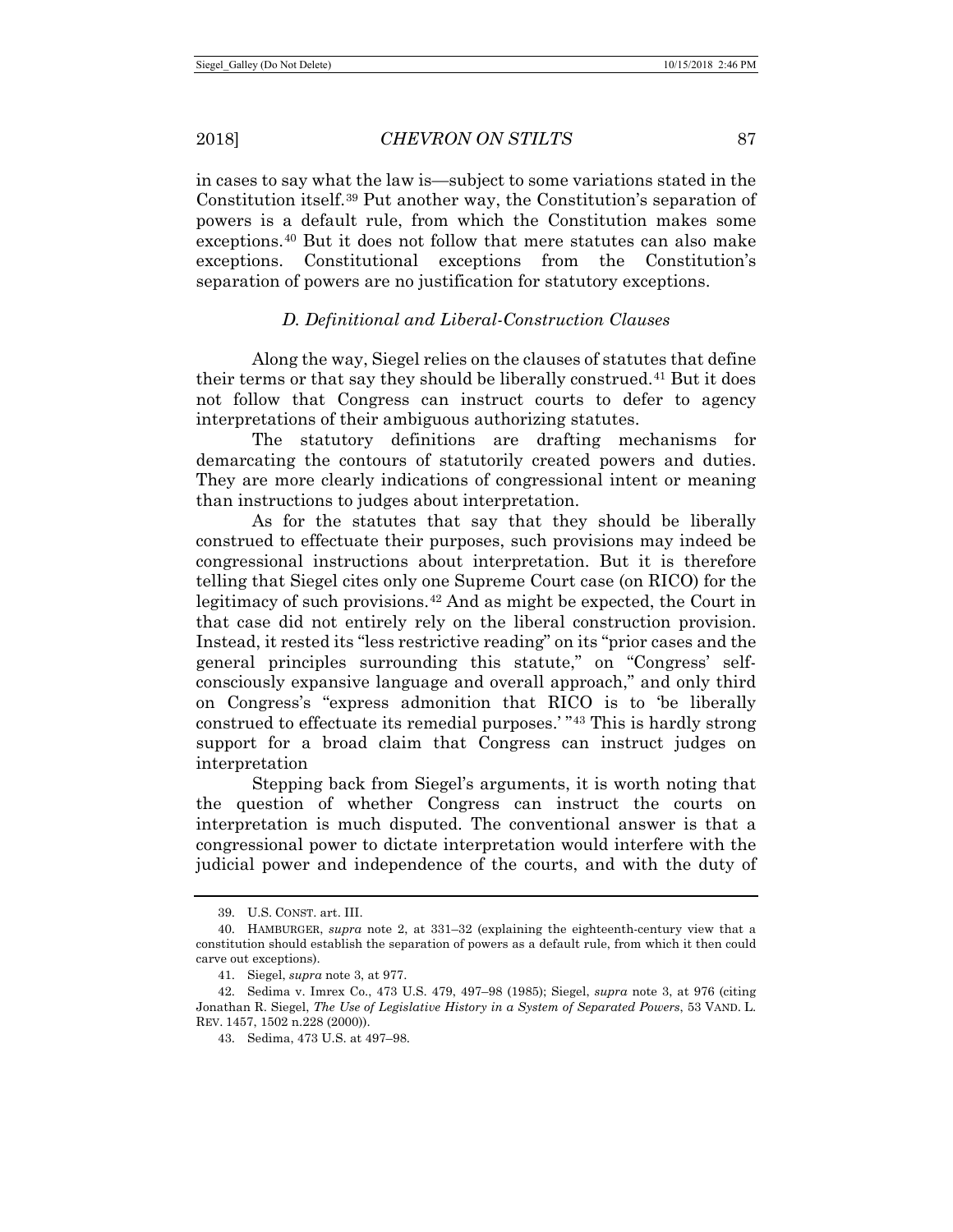in cases to say what the law is—subject to some variations stated in the Constitution itself.[39](#page-11-0) Put another way, the Constitution's separation of powers is a default rule, from which the Constitution makes some exceptions.[40](#page-11-1) But it does not follow that mere statutes can also make exceptions. Constitutional exceptions from the Constitution's separation of powers are no justification for statutory exceptions.

# *D. Definitional and Liberal-Construction Clauses*

Along the way, Siegel relies on the clauses of statutes that define their terms or that say they should be liberally construed.<sup>[41](#page-11-2)</sup> But it does not follow that Congress can instruct courts to defer to agency interpretations of their ambiguous authorizing statutes.

The statutory definitions are drafting mechanisms for demarcating the contours of statutorily created powers and duties. They are more clearly indications of congressional intent or meaning than instructions to judges about interpretation.

As for the statutes that say that they should be liberally construed to effectuate their purposes, such provisions may indeed be congressional instructions about interpretation. But it is therefore telling that Siegel cites only one Supreme Court case (on RICO) for the legitimacy of such provisions.[42](#page-11-3) And as might be expected, the Court in that case did not entirely rely on the liberal construction provision. Instead, it rested its "less restrictive reading" on its "prior cases and the general principles surrounding this statute," on "Congress' selfconsciously expansive language and overall approach," and only third on Congress's "express admonition that RICO is to 'be liberally construed to effectuate its remedial purposes.' "[43](#page-11-4) This is hardly strong support for a broad claim that Congress can instruct judges on interpretation

Stepping back from Siegel's arguments, it is worth noting that the question of whether Congress can instruct the courts on interpretation is much disputed. The conventional answer is that a congressional power to dictate interpretation would interfere with the judicial power and independence of the courts, and with the duty of

<sup>39.</sup> U.S. CONST. art. III.

<span id="page-11-1"></span><span id="page-11-0"></span><sup>40.</sup> HAMBURGER, *supra* note 2, at 331–32 (explaining the eighteenth-century view that a constitution should establish the separation of powers as a default rule, from which it then could carve out exceptions).

<sup>41.</sup> Siegel, *supra* note 3, at 977.

<span id="page-11-4"></span><span id="page-11-3"></span><span id="page-11-2"></span><sup>42.</sup> Sedima v. Imrex Co., 473 U.S. 479, 497–98 (1985); Siegel, *supra* note 3, at 976 (citing Jonathan R. Siegel, *The Use of Legislative History in a System of Separated Powers*, 53 VAND. L. REV. 1457, 1502 n.228 (2000)).

<sup>43.</sup> Sedima, 473 U.S. at 497–98.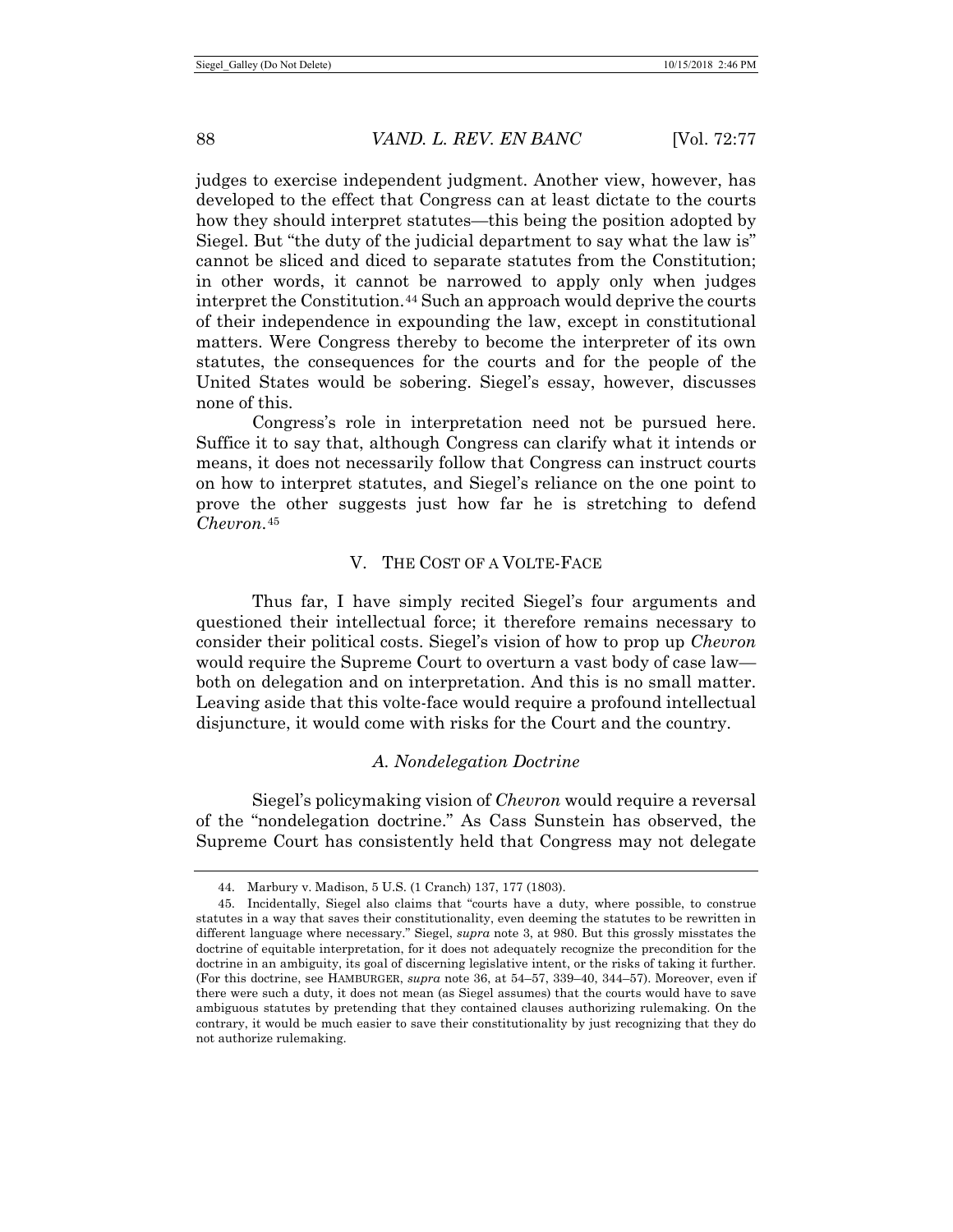judges to exercise independent judgment. Another view, however, has developed to the effect that Congress can at least dictate to the courts how they should interpret statutes—this being the position adopted by Siegel. But "the duty of the judicial department to say what the law is" cannot be sliced and diced to separate statutes from the Constitution; in other words, it cannot be narrowed to apply only when judges interpret the Constitution.[44](#page-12-0) Such an approach would deprive the courts of their independence in expounding the law, except in constitutional matters. Were Congress thereby to become the interpreter of its own statutes, the consequences for the courts and for the people of the United States would be sobering. Siegel's essay, however, discusses none of this.

Congress's role in interpretation need not be pursued here. Suffice it to say that, although Congress can clarify what it intends or means, it does not necessarily follow that Congress can instruct courts on how to interpret statutes, and Siegel's reliance on the one point to prove the other suggests just how far he is stretching to defend *Chevron*.[45](#page-12-1)

#### V. THE COST OF A VOLTE-FACE

Thus far, I have simply recited Siegel's four arguments and questioned their intellectual force; it therefore remains necessary to consider their political costs. Siegel's vision of how to prop up *Chevron* would require the Supreme Court to overturn a vast body of case law both on delegation and on interpretation. And this is no small matter. Leaving aside that this volte-face would require a profound intellectual disjuncture, it would come with risks for the Court and the country.

#### *A. Nondelegation Doctrine*

Siegel's policymaking vision of *Chevron* would require a reversal of the "nondelegation doctrine." As Cass Sunstein has observed, the Supreme Court has consistently held that Congress may not delegate

<sup>44.</sup> Marbury v. Madison, 5 U.S. (1 Cranch) 137, 177 (1803).

<span id="page-12-1"></span><span id="page-12-0"></span><sup>45.</sup> Incidentally, Siegel also claims that "courts have a duty, where possible, to construe statutes in a way that saves their constitutionality, even deeming the statutes to be rewritten in different language where necessary." Siegel, *supra* note 3, at 980. But this grossly misstates the doctrine of equitable interpretation, for it does not adequately recognize the precondition for the doctrine in an ambiguity, its goal of discerning legislative intent, or the risks of taking it further. (For this doctrine, see HAMBURGER, *supra* note 36, at 54–57, 339–40, 344–57). Moreover, even if there were such a duty, it does not mean (as Siegel assumes) that the courts would have to save ambiguous statutes by pretending that they contained clauses authorizing rulemaking. On the contrary, it would be much easier to save their constitutionality by just recognizing that they do not authorize rulemaking.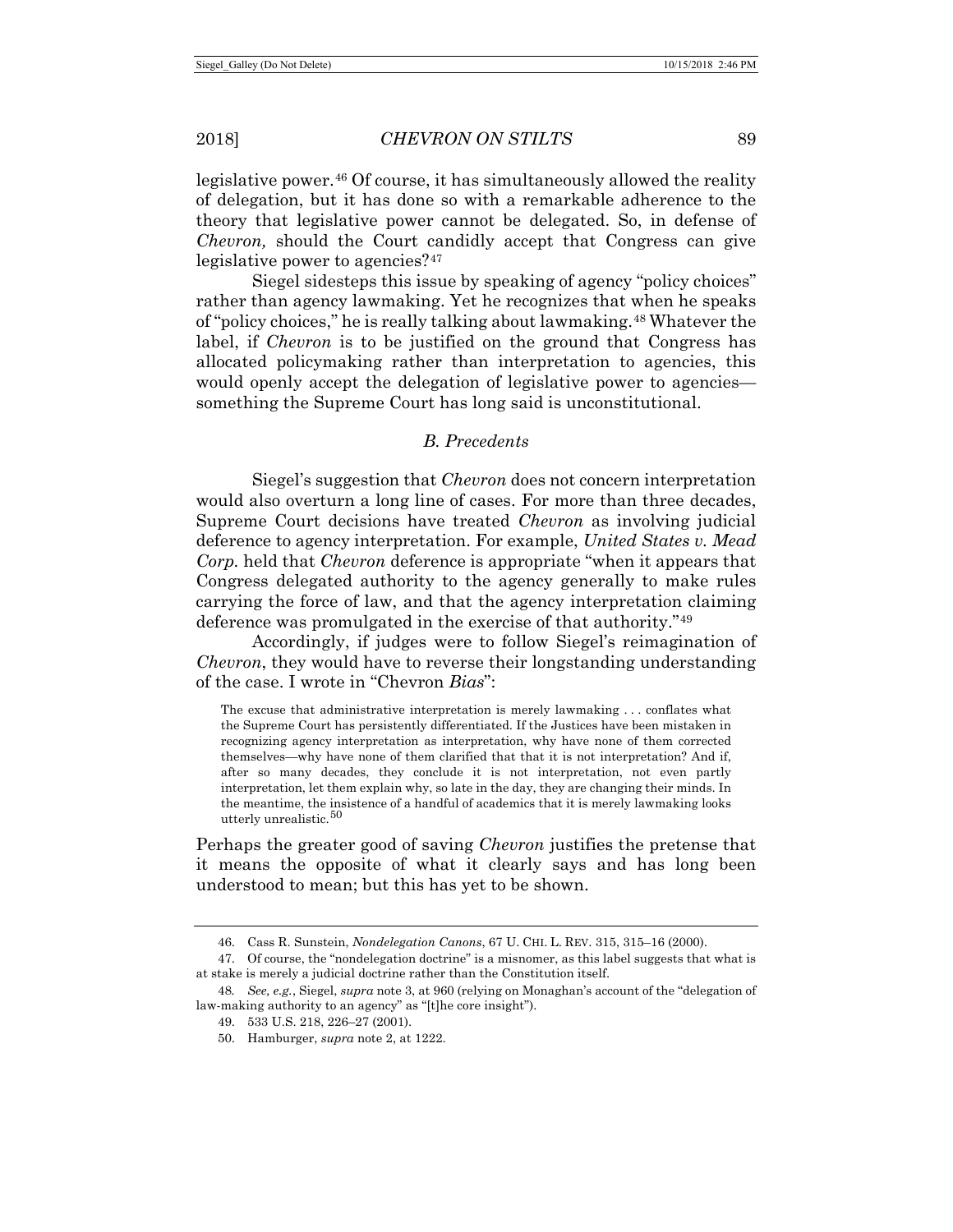legislative power.[46](#page-13-0) Of course, it has simultaneously allowed the reality of delegation, but it has done so with a remarkable adherence to the theory that legislative power cannot be delegated. So, in defense of *Chevron,* should the Court candidly accept that Congress can give legislative power to agencies?<sup>[47](#page-13-1)</sup>

Siegel sidesteps this issue by speaking of agency "policy choices" rather than agency lawmaking. Yet he recognizes that when he speaks of "policy choices," he is really talking about lawmaking.[48](#page-13-2) Whatever the label, if *Chevron* is to be justified on the ground that Congress has allocated policymaking rather than interpretation to agencies, this would openly accept the delegation of legislative power to agencies something the Supreme Court has long said is unconstitutional.

#### *B. Precedents*

Siegel's suggestion that *Chevron* does not concern interpretation would also overturn a long line of cases. For more than three decades, Supreme Court decisions have treated *Chevron* as involving judicial deference to agency interpretation. For example, *United States v. Mead Corp.* held that *Chevron* deference is appropriate "when it appears that Congress delegated authority to the agency generally to make rules carrying the force of law, and that the agency interpretation claiming deference was promulgated in the exercise of that authority."[49](#page-13-3)

Accordingly, if judges were to follow Siegel's reimagination of *Chevron*, they would have to reverse their longstanding understanding of the case. I wrote in "Chevron *Bias*":

The excuse that administrative interpretation is merely lawmaking . . . conflates what the Supreme Court has persistently differentiated. If the Justices have been mistaken in recognizing agency interpretation as interpretation, why have none of them corrected themselves—why have none of them clarified that that it is not interpretation? And if, after so many decades, they conclude it is not interpretation, not even partly interpretation, let them explain why, so late in the day, they are changing their minds. In the meantime, the insistence of a handful of academics that it is merely lawmaking looks utterly unrealistic.<sup>[50](#page-13-4)</sup>

Perhaps the greater good of saving *Chevron* justifies the pretense that it means the opposite of what it clearly says and has long been understood to mean; but this has yet to be shown.

<sup>46.</sup> Cass R. Sunstein, *Nondelegation Canons*, 67 U. CHI. L. REV. 315, 315–16 (2000).

<span id="page-13-1"></span><span id="page-13-0"></span><sup>47.</sup> Of course, the "nondelegation doctrine" is a misnomer, as this label suggests that what is at stake is merely a judicial doctrine rather than the Constitution itself.

<span id="page-13-4"></span><span id="page-13-3"></span><span id="page-13-2"></span><sup>48</sup>*. See, e.g.*, Siegel, *supra* note 3, at 960 (relying on Monaghan's account of the "delegation of law-making authority to an agency" as "[t]he core insight").

<sup>49.</sup> 533 U.S. 218, 226–27 (2001).

<sup>50.</sup> Hamburger, *supra* note 2, at 1222.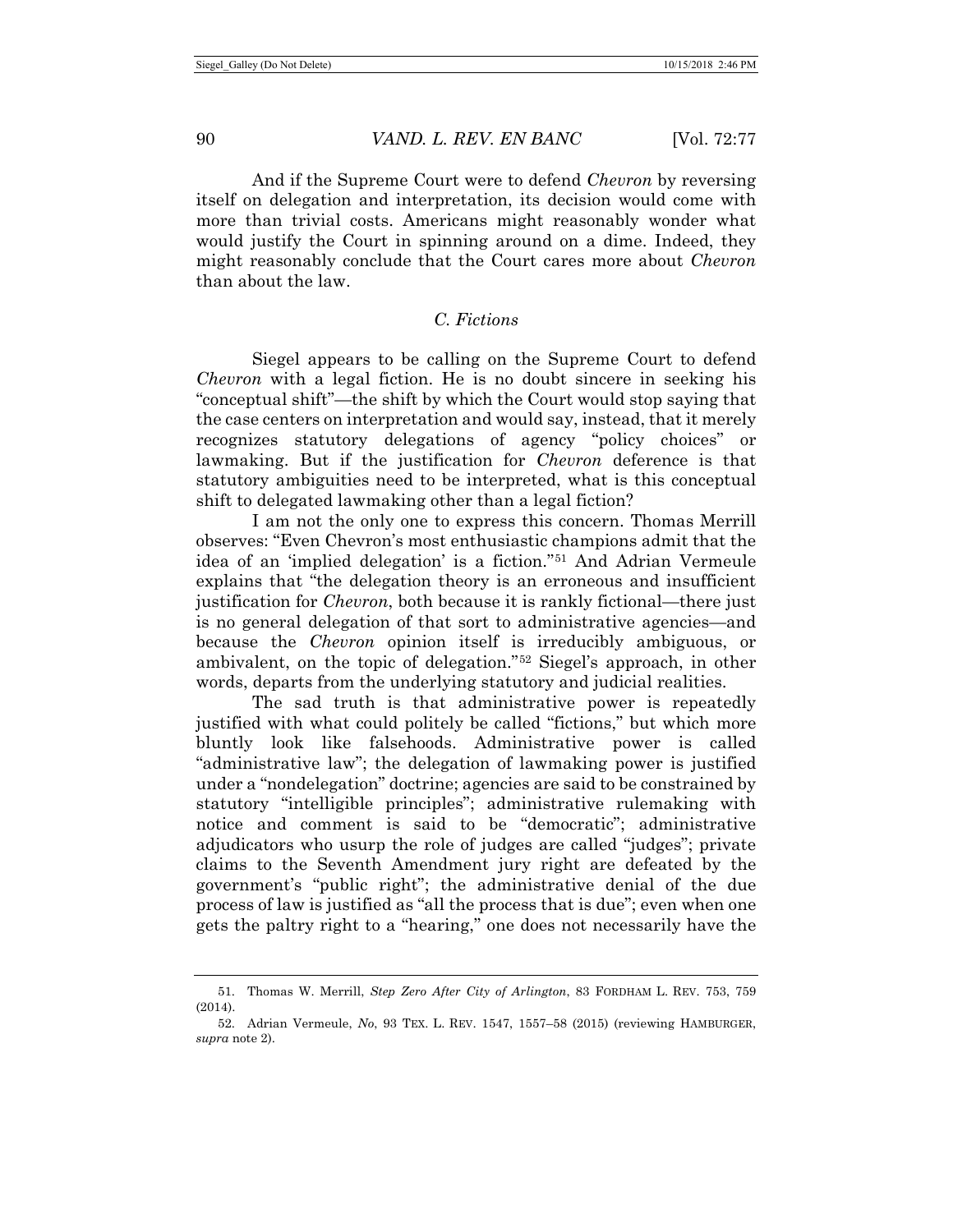And if the Supreme Court were to defend *Chevron* by reversing itself on delegation and interpretation, its decision would come with more than trivial costs. Americans might reasonably wonder what would justify the Court in spinning around on a dime. Indeed, they might reasonably conclude that the Court cares more about *Chevron* than about the law.

## *C. Fictions*

Siegel appears to be calling on the Supreme Court to defend *Chevron* with a legal fiction. He is no doubt sincere in seeking his "conceptual shift"—the shift by which the Court would stop saying that the case centers on interpretation and would say, instead, that it merely recognizes statutory delegations of agency "policy choices" or lawmaking. But if the justification for *Chevron* deference is that statutory ambiguities need to be interpreted, what is this conceptual shift to delegated lawmaking other than a legal fiction?

I am not the only one to express this concern. Thomas Merrill observes: "Even Chevron's most enthusiastic champions admit that the idea of an 'implied delegation' is a fiction."[51](#page-14-0) And Adrian Vermeule explains that "the delegation theory is an erroneous and insufficient justification for *Chevron*, both because it is rankly fictional—there just is no general delegation of that sort to administrative agencies—and because the *Chevron* opinion itself is irreducibly ambiguous, or ambivalent, on the topic of delegation."[52](#page-14-1) Siegel's approach, in other words, departs from the underlying statutory and judicial realities.

The sad truth is that administrative power is repeatedly justified with what could politely be called "fictions," but which more bluntly look like falsehoods. Administrative power is called "administrative law"; the delegation of lawmaking power is justified under a "nondelegation" doctrine; agencies are said to be constrained by statutory "intelligible principles"; administrative rulemaking with notice and comment is said to be "democratic"; administrative adjudicators who usurp the role of judges are called "judges"; private claims to the Seventh Amendment jury right are defeated by the government's "public right"; the administrative denial of the due process of law is justified as "all the process that is due"; even when one gets the paltry right to a "hearing," one does not necessarily have the

<span id="page-14-0"></span><sup>51.</sup> Thomas W. Merrill, *Step Zero After City of Arlington*, 83 FORDHAM L. REV. 753, 759 (2014).

<span id="page-14-1"></span><sup>52.</sup> Adrian Vermeule, *No*, 93 TEX. L. REV. 1547, 1557–58 (2015) (reviewing HAMBURGER, *supra* note 2).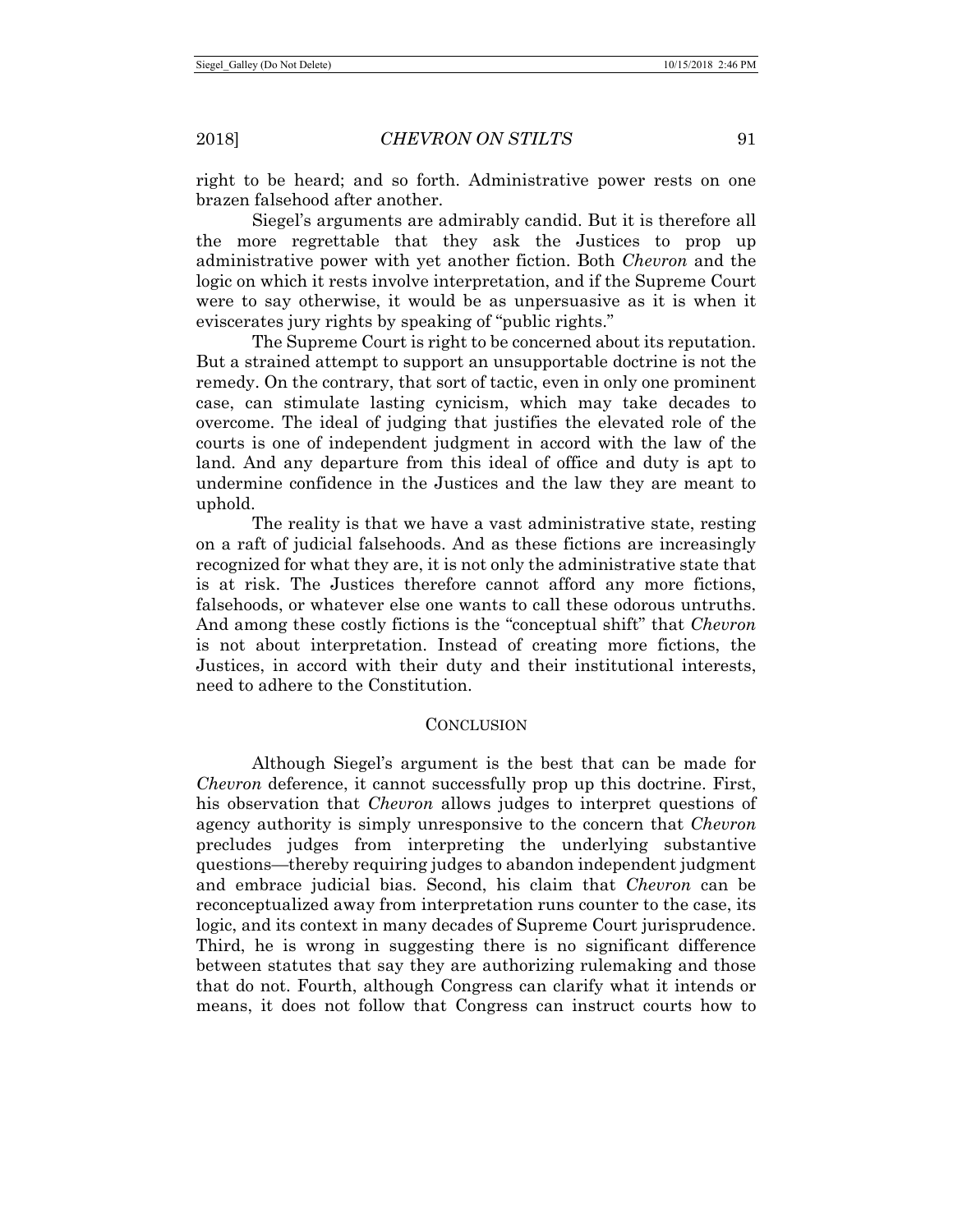right to be heard; and so forth. Administrative power rests on one brazen falsehood after another.

Siegel's arguments are admirably candid. But it is therefore all the more regrettable that they ask the Justices to prop up administrative power with yet another fiction. Both *Chevron* and the logic on which it rests involve interpretation, and if the Supreme Court were to say otherwise, it would be as unpersuasive as it is when it eviscerates jury rights by speaking of "public rights."

The Supreme Court is right to be concerned about its reputation. But a strained attempt to support an unsupportable doctrine is not the remedy. On the contrary, that sort of tactic, even in only one prominent case, can stimulate lasting cynicism, which may take decades to overcome. The ideal of judging that justifies the elevated role of the courts is one of independent judgment in accord with the law of the land. And any departure from this ideal of office and duty is apt to undermine confidence in the Justices and the law they are meant to uphold.

The reality is that we have a vast administrative state, resting on a raft of judicial falsehoods. And as these fictions are increasingly recognized for what they are, it is not only the administrative state that is at risk. The Justices therefore cannot afford any more fictions, falsehoods, or whatever else one wants to call these odorous untruths. And among these costly fictions is the "conceptual shift" that *Chevron* is not about interpretation. Instead of creating more fictions, the Justices, in accord with their duty and their institutional interests, need to adhere to the Constitution.

#### **CONCLUSION**

Although Siegel's argument is the best that can be made for *Chevron* deference, it cannot successfully prop up this doctrine. First, his observation that *Chevron* allows judges to interpret questions of agency authority is simply unresponsive to the concern that *Chevron* precludes judges from interpreting the underlying substantive questions—thereby requiring judges to abandon independent judgment and embrace judicial bias. Second, his claim that *Chevron* can be reconceptualized away from interpretation runs counter to the case, its logic, and its context in many decades of Supreme Court jurisprudence. Third, he is wrong in suggesting there is no significant difference between statutes that say they are authorizing rulemaking and those that do not. Fourth, although Congress can clarify what it intends or means, it does not follow that Congress can instruct courts how to